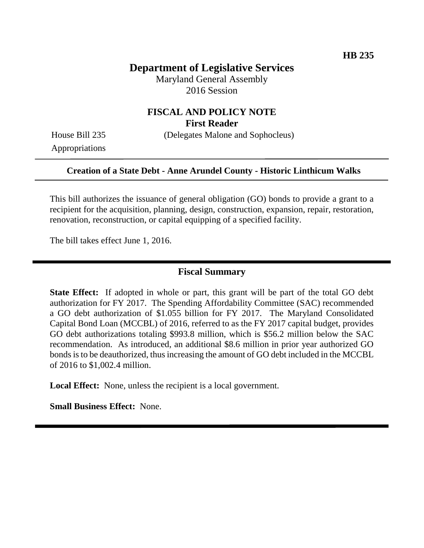## **Department of Legislative Services**

Maryland General Assembly 2016 Session

### **FISCAL AND POLICY NOTE First Reader**

House Bill 235 (Delegates Malone and Sophocleus)

Appropriations

#### **Creation of a State Debt - Anne Arundel County - Historic Linthicum Walks**

This bill authorizes the issuance of general obligation (GO) bonds to provide a grant to a recipient for the acquisition, planning, design, construction, expansion, repair, restoration, renovation, reconstruction, or capital equipping of a specified facility.

The bill takes effect June 1, 2016.

#### **Fiscal Summary**

**State Effect:** If adopted in whole or part, this grant will be part of the total GO debt authorization for FY 2017. The Spending Affordability Committee (SAC) recommended a GO debt authorization of \$1.055 billion for FY 2017. The Maryland Consolidated Capital Bond Loan (MCCBL) of 2016, referred to as the FY 2017 capital budget, provides GO debt authorizations totaling \$993.8 million, which is \$56.2 million below the SAC recommendation. As introduced, an additional \$8.6 million in prior year authorized GO bonds is to be deauthorized, thus increasing the amount of GO debt included in the MCCBL of 2016 to \$1,002.4 million.

**Local Effect:** None, unless the recipient is a local government.

**Small Business Effect:** None.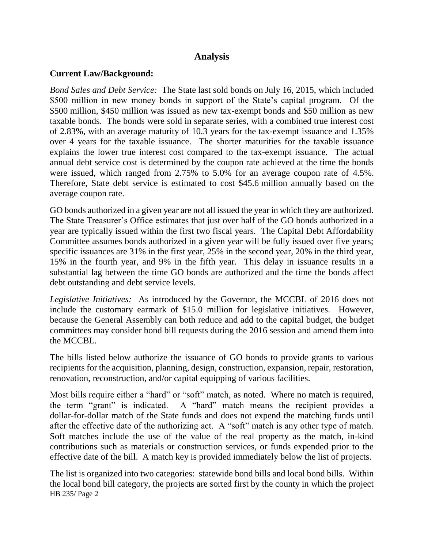## **Analysis**

### **Current Law/Background:**

*Bond Sales and Debt Service:* The State last sold bonds on July 16, 2015, which included \$500 million in new money bonds in support of the State's capital program. Of the \$500 million, \$450 million was issued as new tax-exempt bonds and \$50 million as new taxable bonds. The bonds were sold in separate series, with a combined true interest cost of 2.83%, with an average maturity of 10.3 years for the tax-exempt issuance and 1.35% over 4 years for the taxable issuance. The shorter maturities for the taxable issuance explains the lower true interest cost compared to the tax-exempt issuance. The actual annual debt service cost is determined by the coupon rate achieved at the time the bonds were issued, which ranged from 2.75% to 5.0% for an average coupon rate of 4.5%. Therefore, State debt service is estimated to cost \$45.6 million annually based on the average coupon rate.

GO bonds authorized in a given year are not all issued the year in which they are authorized. The State Treasurer's Office estimates that just over half of the GO bonds authorized in a year are typically issued within the first two fiscal years. The Capital Debt Affordability Committee assumes bonds authorized in a given year will be fully issued over five years; specific issuances are 31% in the first year, 25% in the second year, 20% in the third year, 15% in the fourth year, and 9% in the fifth year. This delay in issuance results in a substantial lag between the time GO bonds are authorized and the time the bonds affect debt outstanding and debt service levels.

*Legislative Initiatives:* As introduced by the Governor, the MCCBL of 2016 does not include the customary earmark of \$15.0 million for legislative initiatives. However, because the General Assembly can both reduce and add to the capital budget, the budget committees may consider bond bill requests during the 2016 session and amend them into the MCCBL.

The bills listed below authorize the issuance of GO bonds to provide grants to various recipients for the acquisition, planning, design, construction, expansion, repair, restoration, renovation, reconstruction, and/or capital equipping of various facilities.

Most bills require either a "hard" or "soft" match, as noted. Where no match is required, the term "grant" is indicated. A "hard" match means the recipient provides a dollar-for-dollar match of the State funds and does not expend the matching funds until after the effective date of the authorizing act. A "soft" match is any other type of match. Soft matches include the use of the value of the real property as the match, in-kind contributions such as materials or construction services, or funds expended prior to the effective date of the bill. A match key is provided immediately below the list of projects.

HB 235/ Page 2 The list is organized into two categories: statewide bond bills and local bond bills. Within the local bond bill category, the projects are sorted first by the county in which the project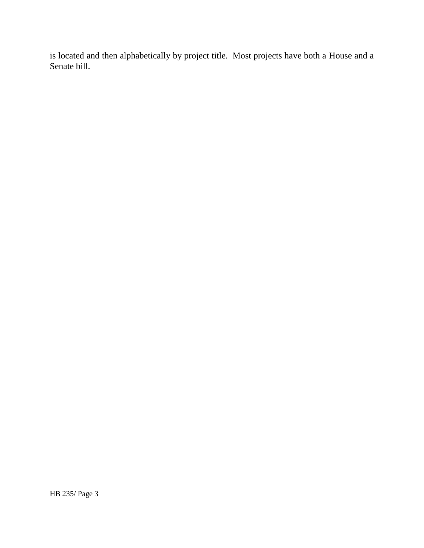is located and then alphabetically by project title. Most projects have both a House and a Senate bill.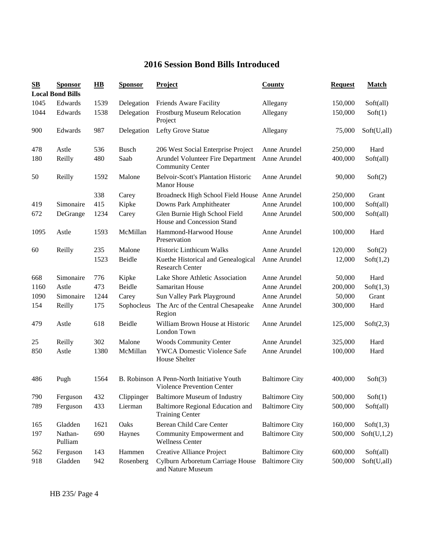# **2016 Session Bond Bills Introduced**

| $\mathbf{S}\mathbf{B}$ | <b>Sponsor</b><br><b>Local Bond Bills</b> | $\overline{HB}$ | <b>Sponsor</b> | Project                                                                 | County                | <b>Request</b> | <b>Match</b> |
|------------------------|-------------------------------------------|-----------------|----------------|-------------------------------------------------------------------------|-----------------------|----------------|--------------|
| 1045                   | Edwards                                   | 1539            | Delegation     | Friends Aware Facility                                                  | Allegany              | 150,000        | Soft(all)    |
| 1044                   | Edwards                                   | 1538            | Delegation     | <b>Frostburg Museum Relocation</b><br>Project                           | Allegany              | 150,000        | Soft(1)      |
| 900                    | Edwards                                   | 987             | Delegation     | Lefty Grove Statue                                                      | Allegany              | 75,000         | Soft(U,all)  |
| 478                    | Astle                                     | 536             | <b>Busch</b>   | 206 West Social Enterprise Project                                      | Anne Arundel          | 250,000        | Hard         |
| 180                    | Reilly                                    | 480             | Saab           | Arundel Volunteer Fire Department<br><b>Community Center</b>            | Anne Arundel          | 400,000        | Soft(all)    |
| 50                     | Reilly                                    | 1592            | Malone         | <b>Belvoir-Scott's Plantation Historic</b><br><b>Manor House</b>        | Anne Arundel          | 90,000         | Soft(2)      |
|                        |                                           | 338             | Carey          | Broadneck High School Field House Anne Arundel                          |                       | 250,000        | Grant        |
| 419                    | Simonaire                                 | 415             | Kipke          | Downs Park Amphitheater                                                 | Anne Arundel          | 100,000        | Soft(all)    |
| 672                    | DeGrange                                  | 1234            | Carey          | Glen Burnie High School Field<br>House and Concession Stand             | Anne Arundel          | 500,000        | Soft(all)    |
| 1095                   | Astle                                     | 1593            | McMillan       | Hammond-Harwood House<br>Preservation                                   | Anne Arundel          | 100,000        | Hard         |
| 60                     | Reilly                                    | 235             | Malone         | <b>Historic Linthicum Walks</b>                                         | Anne Arundel          | 120,000        | Soft(2)      |
|                        |                                           | 1523            | Beidle         | Kuethe Historical and Genealogical<br><b>Research Center</b>            | Anne Arundel          | 12,000         | Soft(1,2)    |
| 668                    | Simonaire                                 | 776             | Kipke          | Lake Shore Athletic Association                                         | Anne Arundel          | 50,000         | Hard         |
| 1160                   | Astle                                     | 473             | Beidle         | Samaritan House                                                         | Anne Arundel          | 200,000        | Soft(1,3)    |
| 1090                   | Simonaire                                 | 1244            | Carey          | Sun Valley Park Playground                                              | Anne Arundel          | 50,000         | Grant        |
| 154                    | Reilly                                    | 175             | Sophocleus     | The Arc of the Central Chesapeake<br>Region                             | Anne Arundel          | 300,000        | Hard         |
| 479                    | Astle                                     | 618             | Beidle         | William Brown House at Historic<br>London Town                          | Anne Arundel          | 125,000        | Soft(2,3)    |
| 25                     | Reilly                                    | 302             | Malone         | <b>Woods Community Center</b>                                           | Anne Arundel          | 325,000        | Hard         |
| 850                    | Astle                                     | 1380            | McMillan       | <b>YWCA Domestic Violence Safe</b><br>House Shelter                     | Anne Arundel          | 100,000        | Hard         |
| 486                    | Pugh                                      | 1564            |                | B. Robinson A Penn-North Initiative Youth<br>Violence Prevention Center | <b>Baltimore City</b> | 400,000        | Soft(3)      |
| 790                    | Ferguson                                  | 432             | Clippinger     | <b>Baltimore Museum of Industry</b>                                     | <b>Baltimore City</b> | 500,000        | Soft(1)      |
| 789                    | Ferguson                                  | 433             | Lierman        | Baltimore Regional Education and<br><b>Training Center</b>              | <b>Baltimore City</b> | 500,000        | Soft(all)    |
| 165                    | Gladden                                   | 1621            | Oaks           | Berean Child Care Center                                                | <b>Baltimore City</b> | 160,000        | Soft(1,3)    |
| 197                    | Nathan-<br>Pulliam                        | 690             | Haynes         | Community Empowerment and<br><b>Wellness Center</b>                     | <b>Baltimore City</b> | 500,000        | Soft(U,1,2)  |
| 562                    | Ferguson                                  | 143             | Hammen         | Creative Alliance Project                                               | <b>Baltimore City</b> | 600,000        | Soft(all)    |
| 918                    | Gladden                                   | 942             | Rosenberg      | Cylburn Arboretum Carriage House<br>and Nature Museum                   | <b>Baltimore City</b> | 500,000        | Soft(U,all)  |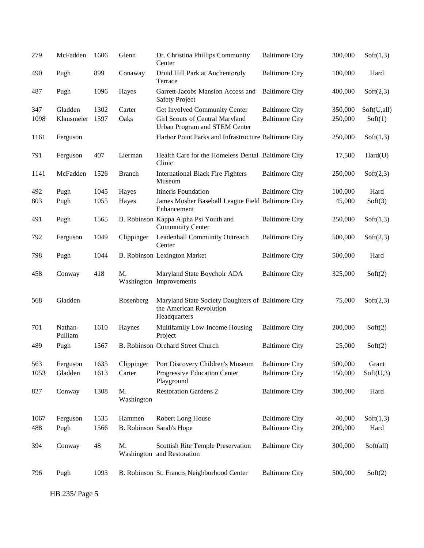| 279  | McFadden           | 1606 | Glenn            | Dr. Christina Phillips Community<br>Center                                                    | <b>Baltimore City</b> | 300,000 | Soft(1,3)   |
|------|--------------------|------|------------------|-----------------------------------------------------------------------------------------------|-----------------------|---------|-------------|
| 490  | Pugh               | 899  | Conaway          | Druid Hill Park at Auchentoroly<br>Terrace                                                    | <b>Baltimore City</b> | 100,000 | Hard        |
| 487  | Pugh               | 1096 | Hayes            | Garrett-Jacobs Mansion Access and<br><b>Safety Project</b>                                    | <b>Baltimore City</b> | 400,000 | Soft(2,3)   |
| 347  | Gladden            | 1302 | Carter           | Get Involved Community Center                                                                 | <b>Baltimore City</b> | 350,000 | Soft(U,all) |
| 1098 | Klausmeier         | 1597 | Oaks             | Girl Scouts of Central Maryland<br>Urban Program and STEM Center                              | <b>Baltimore City</b> | 250,000 | Soft(1)     |
| 1161 | Ferguson           |      |                  | Harbor Point Parks and Infrastructure Baltimore City                                          |                       | 250,000 | Soft(1,3)   |
| 791  | Ferguson           | 407  | Lierman          | Health Care for the Homeless Dental Baltimore City<br>Clinic                                  |                       | 17,500  | Hard(U)     |
| 1141 | McFadden           | 1526 | <b>Branch</b>    | <b>International Black Fire Fighters</b><br>Museum                                            | <b>Baltimore City</b> | 250,000 | Soft(2,3)   |
| 492  | Pugh               | 1045 | Hayes            | Itineris Foundation                                                                           | <b>Baltimore City</b> | 100,000 | Hard        |
| 803  | Pugh               | 1055 | Hayes            | James Mosher Baseball League Field Baltimore City<br>Enhancement                              |                       | 45,000  | Soft(3)     |
| 491  | Pugh               | 1565 |                  | B. Robinson Kappa Alpha Psi Youth and<br><b>Community Center</b>                              | <b>Baltimore City</b> | 250,000 | Soft(1,3)   |
| 792  | Ferguson           | 1049 | Clippinger       | Leadenhall Community Outreach<br>Center                                                       | <b>Baltimore City</b> | 500,000 | Soft(2,3)   |
| 798  | Pugh               | 1044 |                  | <b>B. Robinson Lexington Market</b>                                                           | <b>Baltimore City</b> | 500,000 | Hard        |
| 458  | Conway             | 418  | M.               | Maryland State Boychoir ADA<br>Washington Improvements                                        | <b>Baltimore City</b> | 325,000 | Soft(2)     |
| 568  | Gladden            |      | Rosenberg        | Maryland State Society Daughters of Baltimore City<br>the American Revolution<br>Headquarters |                       | 75,000  | Soft(2,3)   |
| 701  | Nathan-<br>Pulliam | 1610 | Haynes           | Multifamily Low-Income Housing<br>Project                                                     | <b>Baltimore City</b> | 200,000 | Soft(2)     |
| 489  | Pugh               | 1567 |                  | B. Robinson Orchard Street Church                                                             | <b>Baltimore City</b> | 25,000  | Soft(2)     |
| 563  | Ferguson           | 1635 | Clippinger       | Port Discovery Children's Museum                                                              | <b>Baltimore City</b> | 500,000 | Grant       |
| 1053 | Gladden            | 1613 | Carter           | Progressive Education Center<br>Playground                                                    | <b>Baltimore City</b> | 150,000 | Soft(U,3)   |
| 827  | Conway             | 1308 | M.<br>Washington | <b>Restoration Gardens 2</b>                                                                  | <b>Baltimore City</b> | 300,000 | Hard        |
| 1067 | Ferguson           | 1535 | Hammen           | Robert Long House                                                                             | <b>Baltimore City</b> | 40,000  | Soft(1,3)   |
| 488  | Pugh               | 1566 |                  | B. Robinson Sarah's Hope                                                                      | <b>Baltimore City</b> | 200,000 | Hard        |
|      |                    |      |                  |                                                                                               |                       |         |             |
| 394  | Conway             | 48   | M.               | <b>Scottish Rite Temple Preservation</b><br>Washington and Restoration                        | <b>Baltimore City</b> | 300,000 | Soft(all)   |
| 796  | Pugh               | 1093 |                  | B. Robinson St. Francis Neighborhood Center                                                   | <b>Baltimore City</b> | 500,000 | Soft(2)     |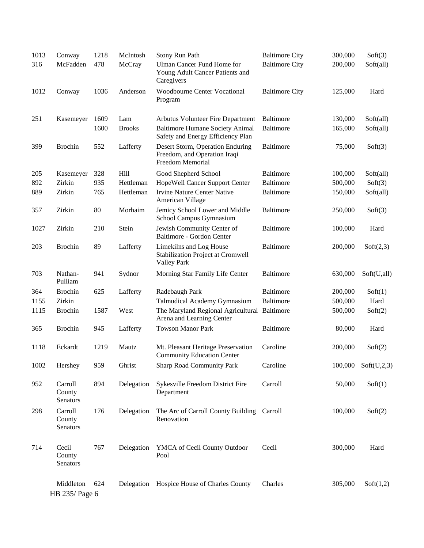| 1013 | Conway                        | 1218 | McIntosh      | Stony Run Path                                                                       | <b>Baltimore City</b> | 300,000 | Soft(3)     |
|------|-------------------------------|------|---------------|--------------------------------------------------------------------------------------|-----------------------|---------|-------------|
| 316  | McFadden                      | 478  | McCray        | <b>Ulman Cancer Fund Home for</b><br>Young Adult Cancer Patients and<br>Caregivers   | <b>Baltimore City</b> | 200,000 | Soft(all)   |
| 1012 | Conway                        | 1036 | Anderson      | <b>Woodbourne Center Vocational</b><br>Program                                       | <b>Baltimore City</b> | 125,000 | Hard        |
| 251  | Kasemeyer                     | 1609 | Lam           | Arbutus Volunteer Fire Department                                                    | <b>Baltimore</b>      | 130,000 | Soft(all)   |
|      |                               | 1600 | <b>Brooks</b> | <b>Baltimore Humane Society Animal</b><br>Safety and Energy Efficiency Plan          | <b>Baltimore</b>      | 165,000 | Soft(all)   |
| 399  | <b>Brochin</b>                | 552  | Lafferty      | Desert Storm, Operation Enduring<br>Freedom, and Operation Iraqi<br>Freedom Memorial | <b>Baltimore</b>      | 75,000  | Soft(3)     |
| 205  | Kasemeyer                     | 328  | Hill          | Good Shepherd School                                                                 | <b>Baltimore</b>      | 100,000 | Soft(all)   |
| 892  | Zirkin                        | 935  | Hettleman     | HopeWell Cancer Support Center                                                       | <b>Baltimore</b>      | 500,000 | Soft(3)     |
| 889  | Zirkin                        | 765  | Hettleman     | <b>Irvine Nature Center Native</b><br>American Village                               | <b>Baltimore</b>      | 150,000 | Soft(all)   |
| 357  | Zirkin                        | 80   | Morhaim       | Jemicy School Lower and Middle<br>School Campus Gymnasium                            | <b>Baltimore</b>      | 250,000 | Soft(3)     |
| 1027 | Zirkin                        | 210  | Stein         | Jewish Community Center of<br>Baltimore - Gordon Center                              | <b>Baltimore</b>      | 100,000 | Hard        |
| 203  | <b>Brochin</b>                | 89   | Lafferty      | Limekilns and Log House<br>Stabilization Project at Cromwell<br><b>Valley Park</b>   | <b>Baltimore</b>      | 200,000 | Soft(2,3)   |
| 703  | Nathan-<br>Pulliam            | 941  | Sydnor        | Morning Star Family Life Center                                                      | <b>Baltimore</b>      | 630,000 | Soft(U,all) |
| 364  | <b>Brochin</b>                | 625  | Lafferty      | Radebaugh Park                                                                       | <b>Baltimore</b>      | 200,000 | Soft(1)     |
| 1155 | Zirkin                        |      |               | Talmudical Academy Gymnasium                                                         | <b>Baltimore</b>      | 500,000 | Hard        |
| 1115 | <b>Brochin</b>                | 1587 | West          | The Maryland Regional Agricultural Baltimore<br>Arena and Learning Center            |                       | 500,000 | Soft(2)     |
| 365  | <b>Brochin</b>                | 945  | Lafferty      | <b>Towson Manor Park</b>                                                             | <b>Baltimore</b>      | 80,000  | Hard        |
| 1118 | Eckardt                       | 1219 | Mautz         | Mt. Pleasant Heritage Preservation<br><b>Community Education Center</b>              | Caroline              | 200,000 | Soft(2)     |
| 1002 | Hershey                       | 959  | Ghrist        | <b>Sharp Road Community Park</b>                                                     | Caroline              | 100,000 | Soft(U,2,3) |
| 952  | Carroll<br>County<br>Senators | 894  | Delegation    | Sykesville Freedom District Fire<br>Department                                       | Carroll               | 50,000  | Soft(1)     |
| 298  | Carroll<br>County<br>Senators | 176  | Delegation    | The Arc of Carroll County Building Carroll<br>Renovation                             |                       | 100,000 | Soft(2)     |
| 714  | Cecil<br>County<br>Senators   | 767  | Delegation    | YMCA of Cecil County Outdoor<br>Pool                                                 | Cecil                 | 300,000 | Hard        |
|      | Middleton<br>HB 235/ Page 6   | 624  | Delegation    | Hospice House of Charles County                                                      | Charles               | 305,000 | Soft(1,2)   |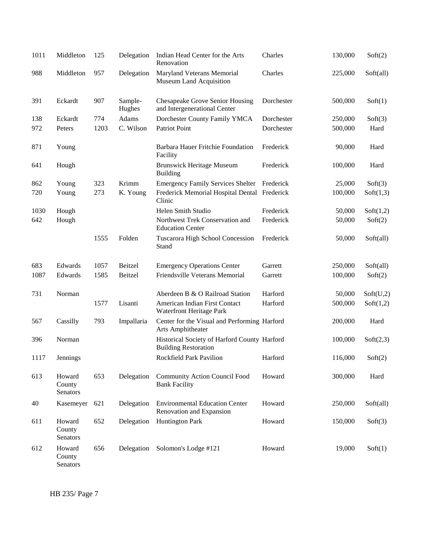| 1011 | Middleton                    | 125  | Delegation        | Indian Head Center for the Arts<br>Renovation                               | Charles    | 130,000 | Soft(2)   |
|------|------------------------------|------|-------------------|-----------------------------------------------------------------------------|------------|---------|-----------|
| 988  | Middleton                    | 957  | Delegation        | Maryland Veterans Memorial<br>Museum Land Acquisition                       | Charles    | 225,000 | Soft(all) |
| 391  | Eckardt                      | 907  | Sample-<br>Hughes | <b>Chesapeake Grove Senior Housing</b><br>and Intergenerational Center      | Dorchester | 500,000 | Soft(1)   |
| 138  | Eckardt                      | 774  | Adams             | Dorchester County Family YMCA                                               | Dorchester | 250,000 | Soft(3)   |
| 972  | Peters                       | 1203 | C. Wilson         | Patriot Point                                                               | Dorchester | 500,000 | Hard      |
| 871  | Young                        |      |                   | Barbara Hauer Fritchie Foundation<br>Facility                               | Frederick  | 90,000  | Hard      |
| 641  | Hough                        |      |                   | <b>Brunswick Heritage Museum</b><br><b>Building</b>                         | Frederick  | 100,000 | Hard      |
| 862  | Young                        | 323  | Krimm             | <b>Emergency Family Services Shelter</b>                                    | Frederick  | 25,000  | Soft(3)   |
| 720  | Young                        | 273  | K. Young          | Frederick Memorial Hospital Dental Frederick<br>Clinic                      |            | 100,000 | Soft(1,3) |
| 1030 | Hough                        |      |                   | Helen Smith Studio                                                          | Frederick  | 50,000  | Soft(1,2) |
| 642  | Hough                        |      |                   | Northwest Trek Conservation and<br><b>Education Center</b>                  | Frederick  | 50,000  | Soft(2)   |
|      |                              | 1555 | Folden            | Tuscarora High School Concession<br>Stand                                   | Frederick  | 50,000  | Soft(all) |
| 683  | Edwards                      | 1057 | Beitzel           | <b>Emergency Operations Center</b>                                          | Garrett    | 250,000 | Soft(all) |
| 1087 | Edwards                      | 1585 | Beitzel           | Friendsville Veterans Memorial                                              | Garrett    | 100,000 | Soft(2)   |
| 731  | Norman                       |      |                   | Aberdeen B & O Railroad Station                                             | Harford    | 50,000  | Soft(U,2) |
|      |                              | 1577 | Lisanti           | American Indian First Contact<br>Waterfront Heritage Park                   | Harford    | 500,000 | Soft(1,2) |
| 567  | Cassilly                     | 793  | Impallaria        | Center for the Visual and Performing Harford<br>Arts Amphitheater           |            | 200,000 | Hard      |
| 396  | Norman                       |      |                   | Historical Society of Harford County Harford<br><b>Building Restoration</b> |            | 100,000 | Soft(2,3) |
| 1117 | Jennings                     |      |                   | Rockfield Park Pavilion                                                     | Harford    | 116,000 | Soft(2)   |
| 613  | Howard<br>County<br>Senators | 653  | Delegation        | <b>Community Action Council Food</b><br><b>Bank Facility</b>                | Howard     | 300,000 | Hard      |
| 40   | Kasemeyer                    | 621  | Delegation        | <b>Environmental Education Center</b><br>Renovation and Expansion           | Howard     | 250,000 | Soft(all) |
| 611  | Howard<br>County<br>Senators | 652  | Delegation        | <b>Huntington Park</b>                                                      | Howard     | 150,000 | Soft(3)   |
| 612  | Howard<br>County<br>Senators | 656  | Delegation        | Solomon's Lodge #121                                                        | Howard     | 19,000  | Soft(1)   |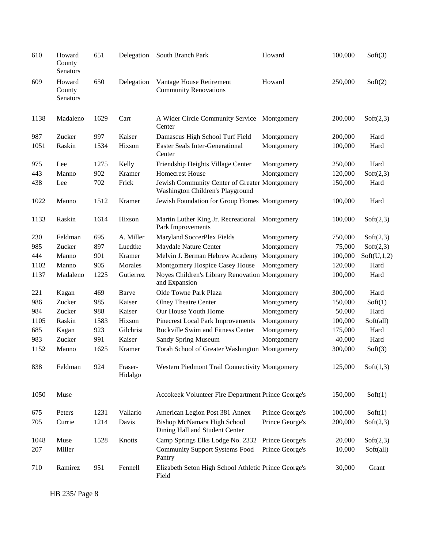| 610  | Howard<br>County<br>Senators | 651  | Delegation         | South Branch Park                                                                 | Howard          | 100,000 | Soft(3)     |
|------|------------------------------|------|--------------------|-----------------------------------------------------------------------------------|-----------------|---------|-------------|
| 609  | Howard<br>County<br>Senators | 650  | Delegation         | Vantage House Retirement<br><b>Community Renovations</b>                          | Howard          | 250,000 | Soft(2)     |
| 1138 | Madaleno                     | 1629 | Carr               | A Wider Circle Community Service<br>Center                                        | Montgomery      | 200,000 | Soft(2,3)   |
| 987  | Zucker                       | 997  | Kaiser             | Damascus High School Turf Field                                                   | Montgomery      | 200,000 | Hard        |
| 1051 | Raskin                       | 1534 | Hixson             | <b>Easter Seals Inter-Generational</b><br>Center                                  | Montgomery      | 100,000 | Hard        |
| 975  | Lee                          | 1275 | Kelly              | Friendship Heights Village Center                                                 | Montgomery      | 250,000 | Hard        |
| 443  | Manno                        | 902  | Kramer             | <b>Homecrest House</b>                                                            | Montgomery      | 120,000 | Soft(2,3)   |
| 438  | Lee                          | 702  | Frick              | Jewish Community Center of Greater Montgomery<br>Washington Children's Playground |                 | 150,000 | Hard        |
| 1022 | Manno                        | 1512 | Kramer             | Jewish Foundation for Group Homes Montgomery                                      |                 | 100,000 | Hard        |
| 1133 | Raskin                       | 1614 | Hixson             | Martin Luther King Jr. Recreational<br>Park Improvements                          | Montgomery      | 100,000 | Soft(2,3)   |
| 230  | Feldman                      | 695  | A. Miller          | Maryland SoccerPlex Fields                                                        | Montgomery      | 750,000 | Soft(2,3)   |
| 985  | Zucker                       | 897  | Luedtke            | Maydale Nature Center                                                             | Montgomery      | 75,000  | Soft(2,3)   |
| 444  | Manno                        | 901  | Kramer             | Melvin J. Berman Hebrew Academy                                                   | Montgomery      | 100,000 | Soft(U,1,2) |
| 1102 | Manno                        | 905  | Morales            | Montgomery Hospice Casey House                                                    | Montgomery      | 120,000 | Hard        |
| 1137 | Madaleno                     | 1225 | Gutierrez          | Noyes Children's Library Renovation Montgomery<br>and Expansion                   |                 | 100,000 | Hard        |
| 221  | Kagan                        | 469  | Barve              | Olde Towne Park Plaza                                                             | Montgomery      | 300,000 | Hard        |
| 986  | Zucker                       | 985  | Kaiser             | <b>Olney Theatre Center</b>                                                       | Montgomery      | 150,000 | Soft(1)     |
| 984  | Zucker                       | 988  | Kaiser             | Our House Youth Home                                                              | Montgomery      | 50,000  | Hard        |
| 1105 | Raskin                       | 1583 | Hixson             | Pinecrest Local Park Improvements                                                 | Montgomery      | 100,000 | Soft(all)   |
| 685  | Kagan                        | 923  | Gilchrist          | Rockville Swim and Fitness Center                                                 | Montgomery      | 175,000 | Hard        |
| 983  | Zucker                       | 991  | Kaiser             | <b>Sandy Spring Museum</b>                                                        | Montgomery      | 40,000  | Hard        |
| 1152 | Manno                        | 1625 | Kramer             | Torah School of Greater Washington Montgomery                                     |                 | 300,000 | Soft(3)     |
| 838  | Feldman                      | 924  | Fraser-<br>Hidalgo | Western Piedmont Trail Connectivity Montgomery                                    |                 | 125,000 | Soft(1,3)   |
| 1050 | Muse                         |      |                    | Accokeek Volunteer Fire Department Prince George's                                |                 | 150,000 | Soft(1)     |
| 675  | Peters                       | 1231 | Vallario           | American Legion Post 381 Annex                                                    | Prince George's | 100,000 | Soft(1)     |
| 705  | Currie                       | 1214 | Davis              | Bishop McNamara High School<br>Dining Hall and Student Center                     | Prince George's | 200,000 | Soft(2,3)   |
| 1048 | Muse                         | 1528 | Knotts             | Camp Springs Elks Lodge No. 2332                                                  | Prince George's | 20,000  | Soft(2,3)   |
| 207  | Miller                       |      |                    | <b>Community Support Systems Food</b><br>Pantry                                   | Prince George's | 10,000  | Soft(all)   |
| 710  | Ramirez                      | 951  | Fennell            | Elizabeth Seton High School Athletic Prince George's<br>Field                     |                 | 30,000  | Grant       |

HB 235/ Page 8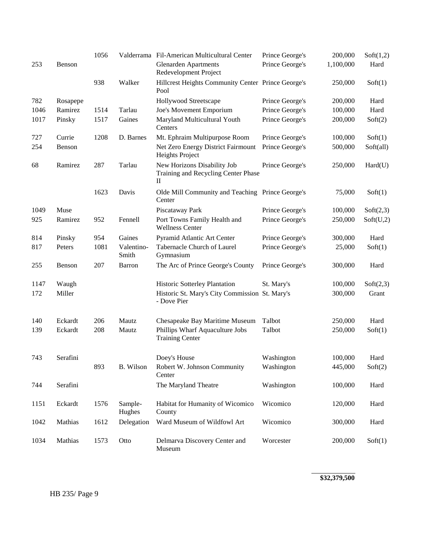|      |          | 1056 |                     | Valderrama Fil-American Multicultural Center                            | Prince George's | 200,000   | Soft(1,2) |
|------|----------|------|---------------------|-------------------------------------------------------------------------|-----------------|-----------|-----------|
| 253  | Benson   |      |                     | <b>Glenarden Apartments</b><br>Redevelopment Project                    | Prince George's | 1,100,000 | Hard      |
|      |          | 938  | Walker              | Hillcrest Heights Community Center Prince George's<br>Pool              |                 | 250,000   | Soft(1)   |
| 782  | Rosapepe |      |                     | Hollywood Streetscape                                                   | Prince George's | 200,000   | Hard      |
| 1046 | Ramirez  | 1514 | Tarlau              | Joe's Movement Emporium                                                 | Prince George's | 100,000   | Hard      |
| 1017 | Pinsky   | 1517 | Gaines              | Maryland Multicultural Youth<br>Centers                                 | Prince George's | 200,000   | Soft(2)   |
| 727  | Currie   | 1208 | D. Barnes           | Mt. Ephraim Multipurpose Room                                           | Prince George's | 100,000   | Soft(1)   |
| 254  | Benson   |      |                     | Net Zero Energy District Fairmount<br>Heights Project                   | Prince George's | 500,000   | Soft(all) |
| 68   | Ramirez  | 287  | Tarlau              | New Horizons Disability Job<br>Training and Recycling Center Phase<br>П | Prince George's | 250,000   | Hard(U)   |
|      |          | 1623 | Davis               | Olde Mill Community and Teaching Prince George's<br>Center              |                 | 75,000    | Soft(1)   |
| 1049 | Muse     |      |                     | Piscataway Park                                                         | Prince George's | 100,000   | Soft(2,3) |
| 925  | Ramirez  | 952  | Fennell             | Port Towns Family Health and<br><b>Wellness Center</b>                  | Prince George's | 250,000   | Soft(U,2) |
| 814  | Pinsky   | 954  | Gaines              | Pyramid Atlantic Art Center                                             | Prince George's | 300,000   | Hard      |
| 817  | Peters   | 1081 | Valentino-<br>Smith | Tabernacle Church of Laurel<br>Gymnasium                                | Prince George's | 25,000    | Soft(1)   |
| 255  | Benson   | 207  | <b>Barron</b>       | The Arc of Prince George's County                                       | Prince George's | 300,000   | Hard      |
| 1147 | Waugh    |      |                     | Historic Sotterley Plantation                                           | St. Mary's      | 100,000   | Soft(2,3) |
| 172  | Miller   |      |                     | Historic St. Mary's City Commission St. Mary's<br>- Dove Pier           |                 | 300,000   | Grant     |
| 140  | Eckardt  | 206  | Mautz               | Chesapeake Bay Maritime Museum                                          | Talbot          | 250,000   | Hard      |
| 139  | Eckardt  | 208  | Mautz               | Phillips Wharf Aquaculture Jobs<br><b>Training Center</b>               | Talbot          | 250,000   | Soft(1)   |
| 743  | Serafini |      |                     | Doey's House                                                            | Washington      | 100,000   | Hard      |
|      |          | 893  | B. Wilson           | Robert W. Johnson Community<br>Center                                   | Washington      | 445,000   | Soft(2)   |
| 744  | Serafini |      |                     | The Maryland Theatre                                                    | Washington      | 100,000   | Hard      |
| 1151 | Eckardt  | 1576 | Sample-<br>Hughes   | Habitat for Humanity of Wicomico<br>County                              | Wicomico        | 120,000   | Hard      |
| 1042 | Mathias  | 1612 | Delegation          | Ward Museum of Wildfowl Art                                             | Wicomico        | 300,000   | Hard      |
| 1034 | Mathias  | 1573 | Otto                | Delmarva Discovery Center and<br>Museum                                 | Worcester       | 200,000   | Soft(1)   |